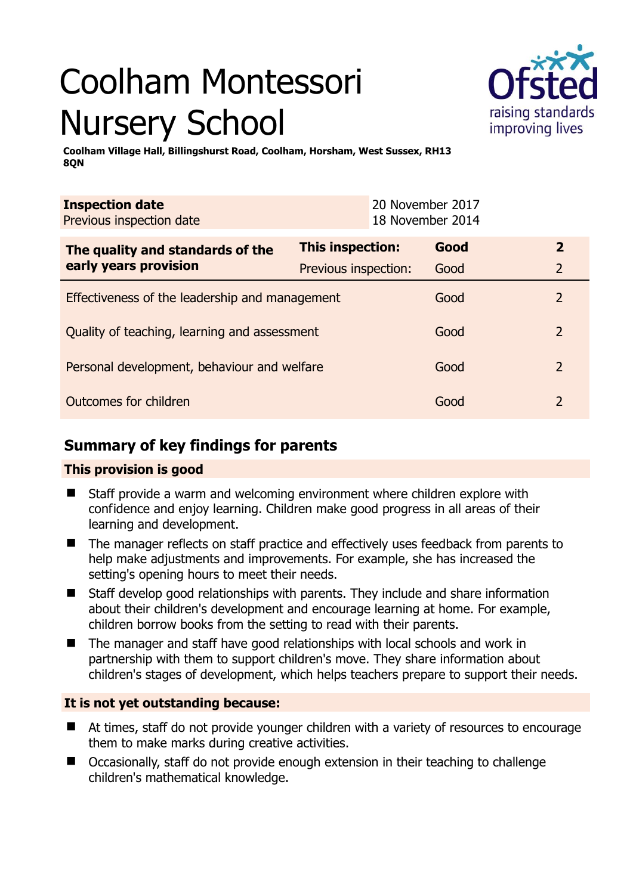# Coolham Montessori Nursery School



**Coolham Village Hall, Billingshurst Road, Coolham, Horsham, West Sussex, RH13 8QN** 

| <b>Inspection date</b><br>Previous inspection date        |                      | 20 November 2017<br>18 November 2014 |      |                |
|-----------------------------------------------------------|----------------------|--------------------------------------|------|----------------|
| The quality and standards of the<br>early years provision | This inspection:     |                                      | Good | $\mathbf{2}$   |
|                                                           | Previous inspection: |                                      | Good | $\overline{2}$ |
| Effectiveness of the leadership and management            |                      |                                      | Good | 2              |
| Quality of teaching, learning and assessment              |                      |                                      | Good | 2              |
| Personal development, behaviour and welfare               |                      |                                      | Good | 2              |
| Outcomes for children                                     |                      |                                      | Good | $\mathcal{P}$  |

# **Summary of key findings for parents**

## **This provision is good**

- Staff provide a warm and welcoming environment where children explore with confidence and enjoy learning. Children make good progress in all areas of their learning and development.
- The manager reflects on staff practice and effectively uses feedback from parents to help make adjustments and improvements. For example, she has increased the setting's opening hours to meet their needs.
- Staff develop good relationships with parents. They include and share information about their children's development and encourage learning at home. For example, children borrow books from the setting to read with their parents.
- The manager and staff have good relationships with local schools and work in partnership with them to support children's move. They share information about children's stages of development, which helps teachers prepare to support their needs.

## **It is not yet outstanding because:**

- At times, staff do not provide younger children with a variety of resources to encourage them to make marks during creative activities.
- Occasionally, staff do not provide enough extension in their teaching to challenge children's mathematical knowledge.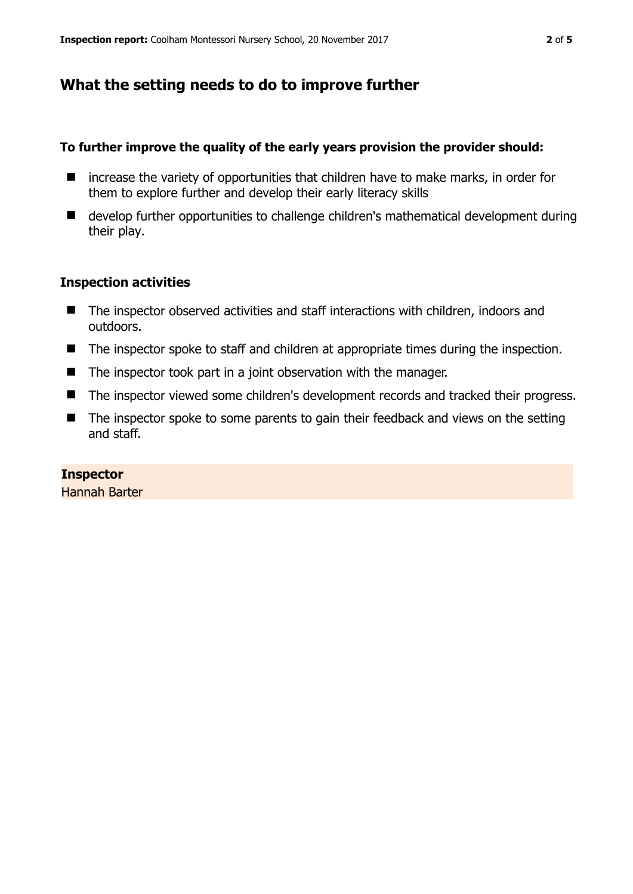# **What the setting needs to do to improve further**

## **To further improve the quality of the early years provision the provider should:**

- increase the variety of opportunities that children have to make marks, in order for them to explore further and develop their early literacy skills
- develop further opportunities to challenge children's mathematical development during their play.

## **Inspection activities**

- The inspector observed activities and staff interactions with children, indoors and outdoors.
- The inspector spoke to staff and children at appropriate times during the inspection.
- The inspector took part in a joint observation with the manager.
- The inspector viewed some children's development records and tracked their progress.
- The inspector spoke to some parents to gain their feedback and views on the setting and staff.

## **Inspector**

Hannah Barter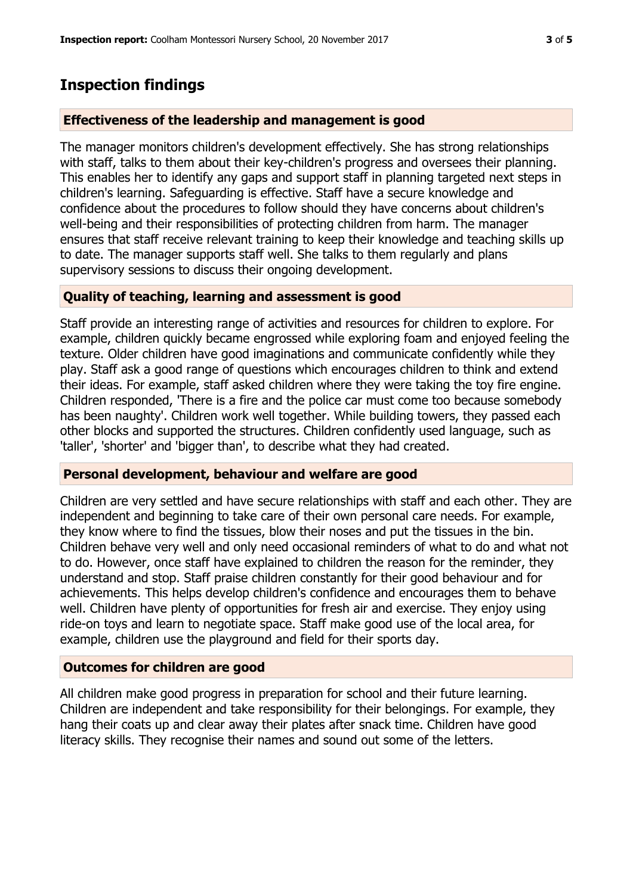## **Inspection findings**

#### **Effectiveness of the leadership and management is good**

The manager monitors children's development effectively. She has strong relationships with staff, talks to them about their key-children's progress and oversees their planning. This enables her to identify any gaps and support staff in planning targeted next steps in children's learning. Safeguarding is effective. Staff have a secure knowledge and confidence about the procedures to follow should they have concerns about children's well-being and their responsibilities of protecting children from harm. The manager ensures that staff receive relevant training to keep their knowledge and teaching skills up to date. The manager supports staff well. She talks to them regularly and plans supervisory sessions to discuss their ongoing development.

#### **Quality of teaching, learning and assessment is good**

Staff provide an interesting range of activities and resources for children to explore. For example, children quickly became engrossed while exploring foam and enjoyed feeling the texture. Older children have good imaginations and communicate confidently while they play. Staff ask a good range of questions which encourages children to think and extend their ideas. For example, staff asked children where they were taking the toy fire engine. Children responded, 'There is a fire and the police car must come too because somebody has been naughty'. Children work well together. While building towers, they passed each other blocks and supported the structures. Children confidently used language, such as 'taller', 'shorter' and 'bigger than', to describe what they had created.

#### **Personal development, behaviour and welfare are good**

Children are very settled and have secure relationships with staff and each other. They are independent and beginning to take care of their own personal care needs. For example, they know where to find the tissues, blow their noses and put the tissues in the bin. Children behave very well and only need occasional reminders of what to do and what not to do. However, once staff have explained to children the reason for the reminder, they understand and stop. Staff praise children constantly for their good behaviour and for achievements. This helps develop children's confidence and encourages them to behave well. Children have plenty of opportunities for fresh air and exercise. They enjoy using ride-on toys and learn to negotiate space. Staff make good use of the local area, for example, children use the playground and field for their sports day.

#### **Outcomes for children are good**

All children make good progress in preparation for school and their future learning. Children are independent and take responsibility for their belongings. For example, they hang their coats up and clear away their plates after snack time. Children have good literacy skills. They recognise their names and sound out some of the letters.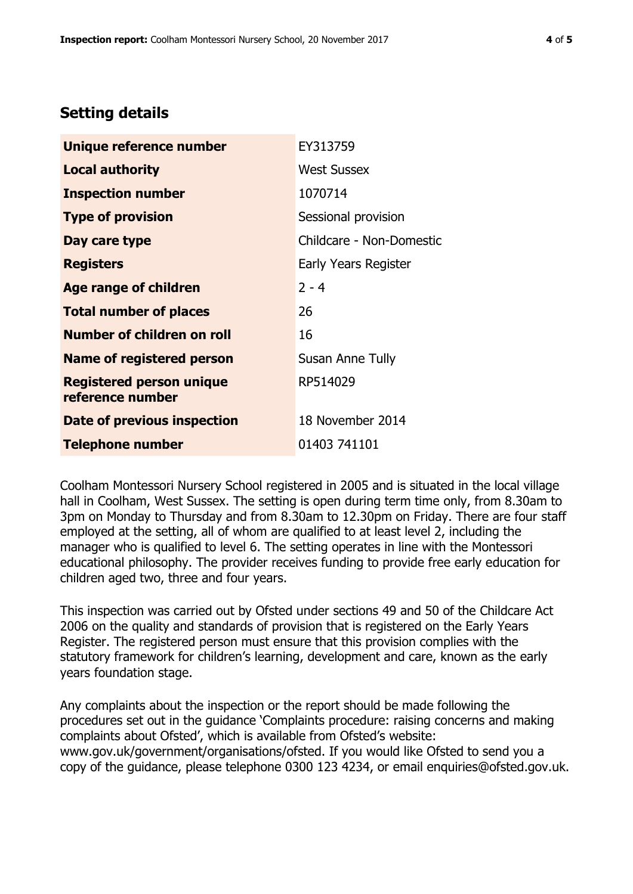# **Setting details**

| Unique reference number                             | EY313759                 |  |
|-----------------------------------------------------|--------------------------|--|
| <b>Local authority</b>                              | <b>West Sussex</b>       |  |
| <b>Inspection number</b>                            | 1070714                  |  |
| <b>Type of provision</b>                            | Sessional provision      |  |
| Day care type                                       | Childcare - Non-Domestic |  |
| <b>Registers</b>                                    | Early Years Register     |  |
| Age range of children                               | $2 - 4$                  |  |
| <b>Total number of places</b>                       | 26                       |  |
| Number of children on roll                          | 16                       |  |
| <b>Name of registered person</b>                    | Susan Anne Tully         |  |
| <b>Registered person unique</b><br>reference number | RP514029                 |  |
| Date of previous inspection                         | 18 November 2014         |  |
| <b>Telephone number</b>                             | 01403 741101             |  |

Coolham Montessori Nursery School registered in 2005 and is situated in the local village hall in Coolham, West Sussex. The setting is open during term time only, from 8.30am to 3pm on Monday to Thursday and from 8.30am to 12.30pm on Friday. There are four staff employed at the setting, all of whom are qualified to at least level 2, including the manager who is qualified to level 6. The setting operates in line with the Montessori educational philosophy. The provider receives funding to provide free early education for children aged two, three and four years.

This inspection was carried out by Ofsted under sections 49 and 50 of the Childcare Act 2006 on the quality and standards of provision that is registered on the Early Years Register. The registered person must ensure that this provision complies with the statutory framework for children's learning, development and care, known as the early years foundation stage.

Any complaints about the inspection or the report should be made following the procedures set out in the guidance 'Complaints procedure: raising concerns and making complaints about Ofsted', which is available from Ofsted's website: www.gov.uk/government/organisations/ofsted. If you would like Ofsted to send you a copy of the guidance, please telephone 0300 123 4234, or email enquiries@ofsted.gov.uk.